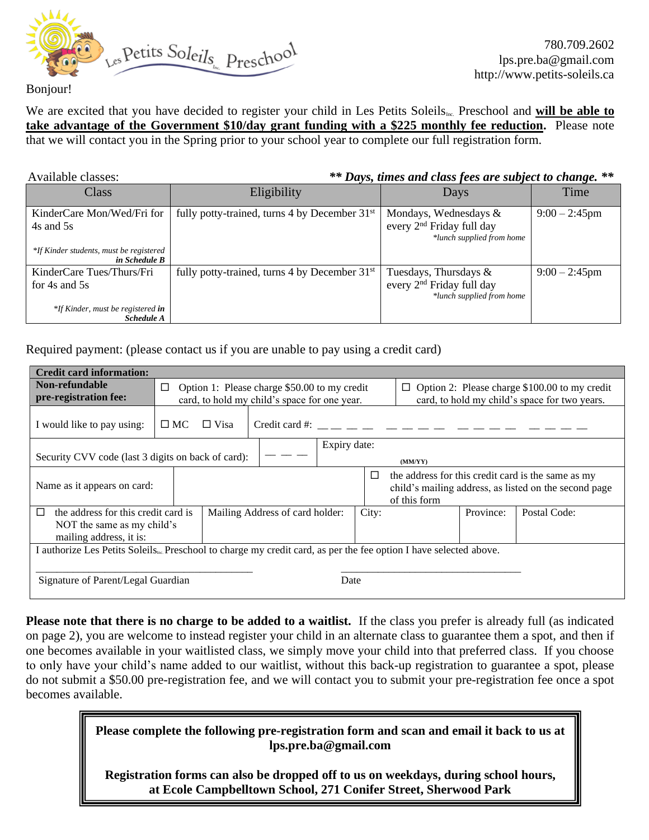

780.709.2602 lps.pre.ba@gmail.com http://www.petits-soleils.ca

We are excited that you have decided to register your child in Les Petits Soleils<sub>Inc.</sub> Preschool and **will be able to take advantage of the Government \$10/day grant funding with a \$225 monthly fee reduction.** Please note that we will contact you in the Spring prior to your school year to complete our full registration form.

Available classes: *\*\* Days, times and class fees are subject to change. \*\** Class and Eligibility **Eligibility** Days and Time KinderCare Mon/Wed/Fri for 4s and 5s *\*If Kinder students, must be registered in Schedule B* fully potty-trained, turns 4 by December  $31^{st}$  Mondays, Wednesdays & every 2<sup>nd</sup> Friday full day *\*lunch supplied from home*  $9:00 - 2:45$ pm KinderCare Tues/Thurs/Fri for 4s and 5s *\*If Kinder, must be registered in Schedule A* fully potty-trained, turns 4 by December  $31<sup>st</sup>$  Tuesdays, Thursdays & every 2nd Friday full day *\*lunch supplied from home* 9:00 – 2:45pm

Required payment: (please contact us if you are unable to pay using a credit card)

| <b>Credit card information:</b>                                                                                               |                                 |                                                                                              |                            |                                                                                                                                       |  |           |                                                                                                     |  |  |
|-------------------------------------------------------------------------------------------------------------------------------|---------------------------------|----------------------------------------------------------------------------------------------|----------------------------|---------------------------------------------------------------------------------------------------------------------------------------|--|-----------|-----------------------------------------------------------------------------------------------------|--|--|
| Non-refundable<br>pre-registration fee:                                                                                       | □                               | Option 1: Please charge \$50.00 to my credit<br>card, to hold my child's space for one year. |                            |                                                                                                                                       |  |           | Option 2: Please charge \$100.00 to my credit<br>□<br>card, to hold my child's space for two years. |  |  |
| I would like to pay using:                                                                                                    | $\square$ MC                    | $\Box$ Visa                                                                                  | $C_{\text{redit}}$ card #: |                                                                                                                                       |  |           |                                                                                                     |  |  |
| Expiry date:                                                                                                                  |                                 |                                                                                              |                            |                                                                                                                                       |  |           |                                                                                                     |  |  |
| Security CVV code (last 3 digits on back of card):                                                                            |                                 |                                                                                              | (MM/YY)                    |                                                                                                                                       |  |           |                                                                                                     |  |  |
| Name as it appears on card:                                                                                                   |                                 |                                                                                              |                            | the address for this credit card is the same as my<br>$\Box$<br>child's mailing address, as listed on the second page<br>of this form |  |           |                                                                                                     |  |  |
| the address for this credit card is<br>П                                                                                      | Mailing Address of card holder: |                                                                                              |                            | City:                                                                                                                                 |  | Province: | Postal Code:                                                                                        |  |  |
| NOT the same as my child's<br>mailing address, it is:                                                                         |                                 |                                                                                              |                            |                                                                                                                                       |  |           |                                                                                                     |  |  |
| I authorize Les Petits Soleils <sub>ns</sub> Preschool to charge my credit card, as per the fee option I have selected above. |                                 |                                                                                              |                            |                                                                                                                                       |  |           |                                                                                                     |  |  |
| Signature of Parent/Legal Guardian                                                                                            |                                 |                                                                                              |                            | Date                                                                                                                                  |  |           |                                                                                                     |  |  |

**Please note that there is no charge to be added to a waitlist.** If the class you prefer is already full (as indicated on page 2), you are welcome to instead register your child in an alternate class to guarantee them a spot, and then if one becomes available in your waitlisted class, we simply move your child into that preferred class. If you choose to only have your child's name added to our waitlist, without this back-up registration to guarantee a spot, please do not submit a \$50.00 pre-registration fee, and we will contact you to submit your pre-registration fee once a spot becomes available.

> **Please complete the following pre-registration form and scan and email it back to us at lps.pre.ba@gmail.com**

**Registration forms can also be dropped off to us on weekdays, during school hours, at Ecole Campbelltown School, 271 Conifer Street, Sherwood Park**